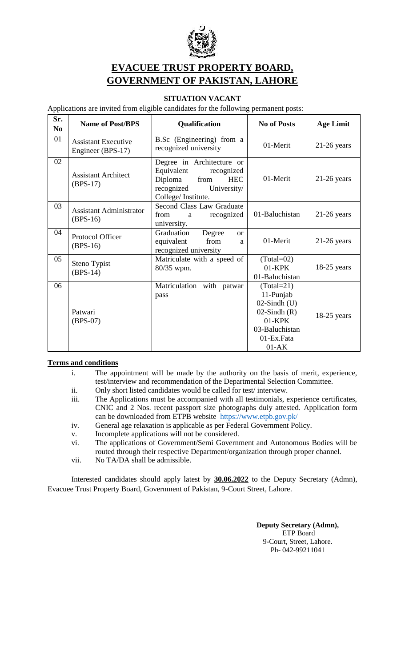

## **EVACUEE TRUST PROPERTY BOARD, GOVERNMENT OF PAKISTAN, LAHORE**

## **SITUATION VACANT**

Applications are invited from eligible candidates for the following permanent posts:

| Sr.<br>N <sub>0</sub> | <b>Name of Post/BPS</b>                         | Qualification                                                                                                                             | <b>No of Posts</b>                                                                                                               | <b>Age Limit</b> |
|-----------------------|-------------------------------------------------|-------------------------------------------------------------------------------------------------------------------------------------------|----------------------------------------------------------------------------------------------------------------------------------|------------------|
| 01                    | <b>Assistant Executive</b><br>Engineer (BPS-17) | B.Sc (Engineering) from a<br>recognized university                                                                                        | 01-Merit                                                                                                                         | $21-26$ years    |
| 02                    | <b>Assistant Architect</b><br>$(BPS-17)$        | Degree in Architecture or<br>Equivalent<br>recognized<br>Diploma<br>from<br><b>HEC</b><br>recognized<br>University/<br>College/Institute. | 01-Merit                                                                                                                         | $21-26$ years    |
| 03                    | <b>Assistant Administrator</b><br>$(BPS-16)$    | <b>Second Class Law Graduate</b><br>recognized<br>from a<br>university.                                                                   | 01-Baluchistan                                                                                                                   | $21-26$ years    |
| 04                    | Protocol Officer<br>$(BPS-16)$                  | Graduation<br>Degree<br>$\alpha$<br>from<br>equivalent<br>a<br>recognized university                                                      | 01-Merit                                                                                                                         | $21-26$ years    |
| 05                    | Steno Typist<br>$(BPS-14)$                      | Matriculate with a speed of<br>80/35 wpm.                                                                                                 | $(Total=02)$<br>$01 - KPK$<br>01-Baluchistan                                                                                     | $18-25$ years    |
| 06                    | Patwari<br>$(BPS-07)$                           | Matriculation with patwar<br>pass                                                                                                         | $(Total = 21)$<br>11-Punjab<br>$02$ -Sindh $(U)$<br>$02$ -Sindh $(R)$<br>$01 - KPK$<br>03-Baluchistan<br>01-Ex.Fata<br>$01 - AK$ | $18-25$ years    |

## **Terms and conditions**

- i. The appointment will be made by the authority on the basis of merit, experience, test/interview and recommendation of the Departmental Selection Committee.
- ii. Only short listed candidates would be called for test/ interview.
- iii. The Applications must be accompanied with all testimonials, experience certificates, CNIC and 2 Nos. recent passport size photographs duly attested. Application form can be downloaded from ETPB website <https://www.etpb.gov.pk/>
- iv. General age relaxation is applicable as per Federal Government Policy.
- v. Incomplete applications will not be considered.
- vi. The applications of Government/Semi Government and Autonomous Bodies will be routed through their respective Department/organization through proper channel.
- vii. No TA/DA shall be admissible.

Interested candidates should apply latest by **30.06.2022** to the Deputy Secretary (Admn), Evacuee Trust Property Board, Government of Pakistan, 9-Court Street, Lahore.

> **Deputy Secretary (Admn),** ETP Board 9-Court, Street, Lahore. Ph- 042-99211041